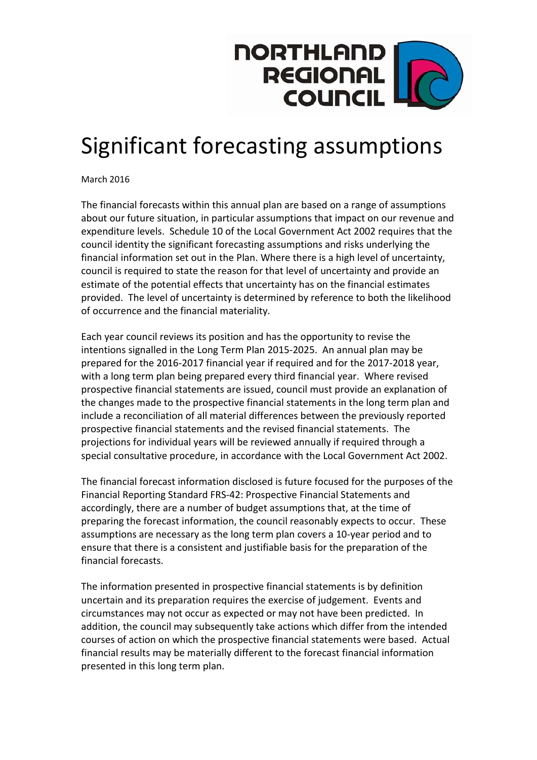

## Significant forecasting assumptions

March 2016

The financial forecasts within this annual plan are based on a range of assumptions about our future situation, in particular assumptions that impact on our revenue and expenditure levels. Schedule 10 of the Local Government Act 2002 requires that the council identity the significant forecasting assumptions and risks underlying the financial information set out in the Plan. Where there is a high level of uncertainty, council is required to state the reason for that level of uncertainty and provide an estimate of the potential effects that uncertainty has on the financial estimates provided. The level of uncertainty is determined by reference to both the likelihood of occurrence and the financial materiality.

Each year council reviews its position and has the opportunity to revise the intentions signalled in the Long Term Plan 2015-2025. An annual plan may be prepared for the 2016-2017 financial year if required and for the 2017-2018 year, with a long term plan being prepared every third financial year. Where revised prospective financial statements are issued, council must provide an explanation of the changes made to the prospective financial statements in the long term plan and include a reconciliation of all material differences between the previously reported prospective financial statements and the revised financial statements. The projections for individual years will be reviewed annually if required through a special consultative procedure, in accordance with the Local Government Act 2002.

The financial forecast information disclosed is future focused for the purposes of the Financial Reporting Standard FRS-42: Prospective Financial Statements and accordingly, there are a number of budget assumptions that, at the time of preparing the forecast information, the council reasonably expects to occur. These assumptions are necessary as the long term plan covers a 10-year period and to ensure that there is a consistent and justifiable basis for the preparation of the financial forecasts.

The information presented in prospective financial statements is by definition uncertain and its preparation requires the exercise of judgement. Events and circumstances may not occur as expected or may not have been predicted. In addition, the council may subsequently take actions which differ from the intended courses of action on which the prospective financial statements were based. Actual financial results may be materially different to the forecast financial information presented in this long term plan.